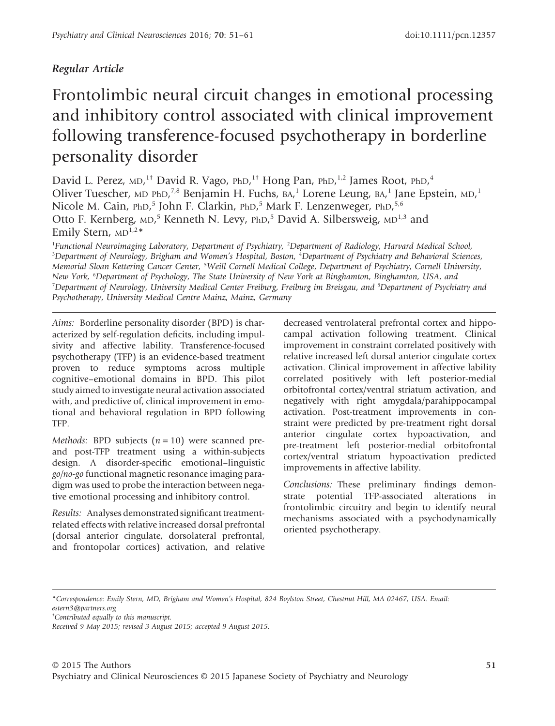## *Regular Article*

# Frontolimbic neural circuit changes in emotional processing and inhibitory control associated with clinical improvement following transference-focused psychotherapy in borderline personality disorder

David L. Perez, MD,<sup>1†</sup> David R. Vago, PhD,<sup>1†</sup> Hong Pan, PhD,<sup>1,2</sup> James Root, PhD,<sup>4</sup> Oliver Tuescher, MD PhD,<sup>7,8</sup> Benjamin H. Fuchs, BA,<sup>1</sup> Lorene Leung, BA,<sup>1</sup> Jane Epstein, MD,<sup>1</sup> Nicole M. Cain, PhD,<sup>5</sup> John F. Clarkin, PhD,<sup>5</sup> Mark F. Lenzenweger, PhD,<sup>5,6</sup> Otto F. Kernberg, MD,<sup>5</sup> Kenneth N. Levy, PhD,<sup>5</sup> David A. Silbersweig, MD<sup>1,3</sup> and Emily Stern,  $MD^{1,2*}$ 

1 *Functional Neuroimaging Laboratory*, *Department of Psychiatry,* <sup>2</sup> *Department of Radiology*, *Harvard Medical School,* 3 *Department of Neurology*, *Brigham and Women's Hospital*, *Boston,* <sup>4</sup> *Department of Psychiatry and Behavioral Sciences*, *Memorial Sloan Kettering Cancer Center,* <sup>5</sup> *Weill Cornell Medical College*, *Department of Psychiatry*, *Cornell University*, *New York,* <sup>6</sup> *Department of Psychology*, *The State University of New York at Binghamton*, *Binghamton, USA*, *and* 7 *Department of Neurology*, *University Medical Center Freiburg*, *Freiburg im Breisgau*, *and* <sup>8</sup> *Department of Psychiatry and Psychotherapy*, *University Medical Centre Mainz*, *Mainz, Germany*

*Aims:* Borderline personality disorder (BPD) is characterized by self-regulation deficits, including impulsivity and affective lability. Transference-focused psychotherapy (TFP) is an evidence-based treatment proven to reduce symptoms across multiple cognitive–emotional domains in BPD. This pilot study aimed to investigate neural activation associated with, and predictive of, clinical improvement in emotional and behavioral regulation in BPD following TFP.

*Methods:* BPD subjects (*n* = 10) were scanned preand post-TFP treatment using a within-subjects design. A disorder-specific emotional–linguistic *go/no-go* functional magnetic resonance imaging paradigm was used to probe the interaction between negative emotional processing and inhibitory control.

*Results:* Analyses demonstrated significant treatmentrelated effects with relative increased dorsal prefrontal (dorsal anterior cingulate, dorsolateral prefrontal, and frontopolar cortices) activation, and relative

decreased ventrolateral prefrontal cortex and hippocampal activation following treatment. Clinical improvement in constraint correlated positively with relative increased left dorsal anterior cingulate cortex activation. Clinical improvement in affective lability correlated positively with left posterior-medial orbitofrontal cortex/ventral striatum activation, and negatively with right amygdala/parahippocampal activation. Post-treatment improvements in constraint were predicted by pre-treatment right dorsal anterior cingulate cortex hypoactivation, and pre-treatment left posterior-medial orbitofrontal cortex/ventral striatum hypoactivation predicted improvements in affective lability.

*Conclusions:* These preliminary findings demonstrate potential TFP-associated alterations in frontolimbic circuitry and begin to identify neural mechanisms associated with a psychodynamically oriented psychotherapy.

*<sup>\*</sup>Correspondence: Emily Stern, MD, Brigham and Women's Hospital, 824 Boylston Street, Chestnut Hill, MA 02467, USA. Email:*

*[estern3@partners.org](mailto:estern3@partners.org)*

*<sup>†</sup> Contributed equally to this manuscript.*

*Received 9 May 2015; revised 3 August 2015; accepted 9 August 2015.*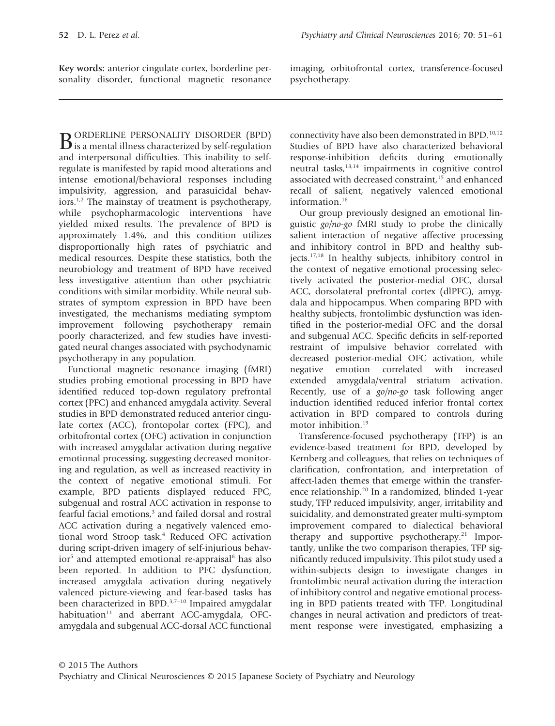**Key words:** anterior cingulate cortex, borderline personality disorder, functional magnetic resonance imaging, orbitofrontal cortex, transference-focused psychotherapy.

**B**ORDERLINE PERSONALITY DISORDER (BPD)<br>is a mental illness characterized by self-regulation and interpersonal difficulties. This inability to selfregulate is manifested by rapid mood alterations and intense emotional/behavioral responses including impulsivity, aggression, and parasuicidal behaviors.<sup>1,2</sup> The mainstay of treatment is psychotherapy, while psychopharmacologic interventions have yielded mixed results. The prevalence of BPD is approximately 1.4%, and this condition utilizes disproportionally high rates of psychiatric and medical resources. Despite these statistics, both the neurobiology and treatment of BPD have received less investigative attention than other psychiatric conditions with similar morbidity. While neural substrates of symptom expression in BPD have been investigated, the mechanisms mediating symptom improvement following psychotherapy remain poorly characterized, and few studies have investigated neural changes associated with psychodynamic psychotherapy in any population.

Functional magnetic resonance imaging (fMRI) studies probing emotional processing in BPD have identified reduced top-down regulatory prefrontal cortex (PFC) and enhanced amygdala activity. Several studies in BPD demonstrated reduced anterior cingulate cortex (ACC), frontopolar cortex (FPC), and orbitofrontal cortex (OFC) activation in conjunction with increased amygdalar activation during negative emotional processing, suggesting decreased monitoring and regulation, as well as increased reactivity in the context of negative emotional stimuli. For example, BPD patients displayed reduced FPC, subgenual and rostral ACC activation in response to fearful facial emotions,<sup>3</sup> and failed dorsal and rostral ACC activation during a negatively valenced emotional word Stroop task.<sup>4</sup> Reduced OFC activation during script-driven imagery of self-injurious behavior<sup>5</sup> and attempted emotional re-appraisal<sup>6</sup> has also been reported. In addition to PFC dysfunction, increased amygdala activation during negatively valenced picture-viewing and fear-based tasks has been characterized in BPD.<sup>3,7-10</sup> Impaired amygdalar habituation $11$  and aberrant ACC-amygdala, OFCamygdala and subgenual ACC-dorsal ACC functional

connectivity have also been demonstrated in BPD.<sup>10,12</sup> Studies of BPD have also characterized behavioral response-inhibition deficits during emotionally neutral tasks,13,14 impairments in cognitive control associated with decreased constraint,<sup>15</sup> and enhanced recall of salient, negatively valenced emotional information.<sup>16</sup>

Our group previously designed an emotional linguistic *go/no-go* fMRI study to probe the clinically salient interaction of negative affective processing and inhibitory control in BPD and healthy subjects.17,18 In healthy subjects, inhibitory control in the context of negative emotional processing selectively activated the posterior-medial OFC, dorsal ACC, dorsolateral prefrontal cortex (dlPFC), amygdala and hippocampus. When comparing BPD with healthy subjects, frontolimbic dysfunction was identified in the posterior-medial OFC and the dorsal and subgenual ACC. Specific deficits in self-reported restraint of impulsive behavior correlated with decreased posterior-medial OFC activation, while negative emotion correlated with increased extended amygdala/ventral striatum activation. Recently, use of a *go/no-go* task following anger induction identified reduced inferior frontal cortex activation in BPD compared to controls during motor inhibition.<sup>19</sup>

Transference-focused psychotherapy (TFP) is an evidence-based treatment for BPD, developed by Kernberg and colleagues, that relies on techniques of clarification, confrontation, and interpretation of affect-laden themes that emerge within the transference relationship.20 In a randomized, blinded 1-year study, TFP reduced impulsivity, anger, irritability and suicidality, and demonstrated greater multi-symptom improvement compared to dialectical behavioral therapy and supportive psychotherapy.<sup>21</sup> Importantly, unlike the two comparison therapies, TFP significantly reduced impulsivity. This pilot study used a within-subjects design to investigate changes in frontolimbic neural activation during the interaction of inhibitory control and negative emotional processing in BPD patients treated with TFP. Longitudinal changes in neural activation and predictors of treatment response were investigated, emphasizing a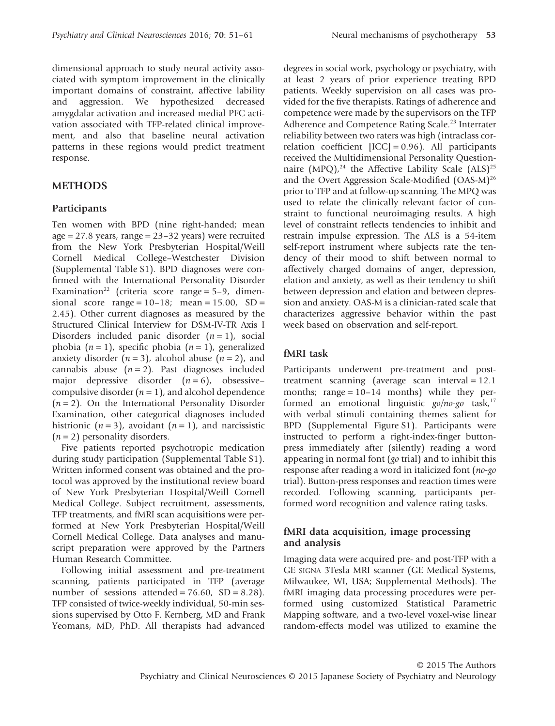dimensional approach to study neural activity associated with symptom improvement in the clinically important domains of constraint, affective lability and aggression. We hypothesized decreased amygdalar activation and increased medial PFC activation associated with TFP-related clinical improvement, and also that baseline neural activation patterns in these regions would predict treatment response.

## **METHODS**

## **Participants**

Ten women with BPD (nine right-handed; mean age =  $27.8$  years, range =  $23-32$  years) were recruited from the New York Presbyterian Hospital/Weill Cornell Medical College–Westchester Division (Supplemental Table S1). BPD diagnoses were confirmed with the International Personality Disorder Examination<sup>22</sup> (criteria score range =  $5-9$ , dimensional score range =  $10-18$ ; mean =  $15.00$ , SD = 2.45). Other current diagnoses as measured by the Structured Clinical Interview for DSM-IV-TR Axis I Disorders included panic disorder  $(n=1)$ , social phobia  $(n = 1)$ , specific phobia  $(n = 1)$ , generalized anxiety disorder  $(n=3)$ , alcohol abuse  $(n=2)$ , and cannabis abuse  $(n=2)$ . Past diagnoses included major depressive disorder  $(n=6)$ , obsessive– compulsive disorder  $(n = 1)$ , and alcohol dependence (*n* = 2). On the International Personality Disorder Examination, other categorical diagnoses included histrionic  $(n=3)$ , avoidant  $(n=1)$ , and narcissistic  $(n=2)$  personality disorders.

Five patients reported psychotropic medication during study participation (Supplemental Table S1). Written informed consent was obtained and the protocol was approved by the institutional review board of New York Presbyterian Hospital/Weill Cornell Medical College. Subject recruitment, assessments, TFP treatments, and fMRI scan acquisitions were performed at New York Presbyterian Hospital/Weill Cornell Medical College. Data analyses and manuscript preparation were approved by the Partners Human Research Committee.

Following initial assessment and pre-treatment scanning, patients participated in TFP (average number of sessions attended =  $76.60$ , SD =  $8.28$ ). TFP consisted of twice-weekly individual, 50-min sessions supervised by Otto F. Kernberg, MD and Frank Yeomans, MD, PhD. All therapists had advanced degrees in social work, psychology or psychiatry, with at least 2 years of prior experience treating BPD patients. Weekly supervision on all cases was provided for the five therapists. Ratings of adherence and competence were made by the supervisors on the TFP Adherence and Competence Rating Scale.<sup>23</sup> Interrater reliability between two raters was high (intraclass correlation coefficient  $[ICC] = 0.96$ ). All participants received the Multidimensional Personality Questionnaire  $(MPQ)<sup>24</sup>$  the Affective Lability Scale  $(ALS)<sup>25</sup>$ and the Overt Aggression Scale-Modified (OAS-M)<sup>26</sup> prior to TFP and at follow-up scanning. The MPQ was used to relate the clinically relevant factor of constraint to functional neuroimaging results. A high level of constraint reflects tendencies to inhibit and restrain impulse expression. The ALS is a 54-item self-report instrument where subjects rate the tendency of their mood to shift between normal to affectively charged domains of anger, depression, elation and anxiety, as well as their tendency to shift between depression and elation and between depression and anxiety. OAS-M is a clinician-rated scale that characterizes aggressive behavior within the past week based on observation and self-report.

### **fMRI task**

Participants underwent pre-treatment and posttreatment scanning (average scan interval = 12.1 months; range  $= 10-14$  months) while they performed an emotional linguistic *go*/no-go task,<sup>17</sup> with verbal stimuli containing themes salient for BPD (Supplemental Figure S1). Participants were instructed to perform a right-index-finger buttonpress immediately after (silently) reading a word appearing in normal font (*go* trial) and to inhibit this response after reading a word in italicized font (*no-go* trial). Button-press responses and reaction times were recorded. Following scanning, participants performed word recognition and valence rating tasks.

### **fMRI data acquisition, image processing and analysis**

Imaging data were acquired pre- and post-TFP with a GE SIGNA 3Tesla MRI scanner (GE Medical Systems, Milwaukee, WI, USA; Supplemental Methods). The fMRI imaging data processing procedures were performed using customized Statistical Parametric Mapping software, and a two-level voxel-wise linear random-effects model was utilized to examine the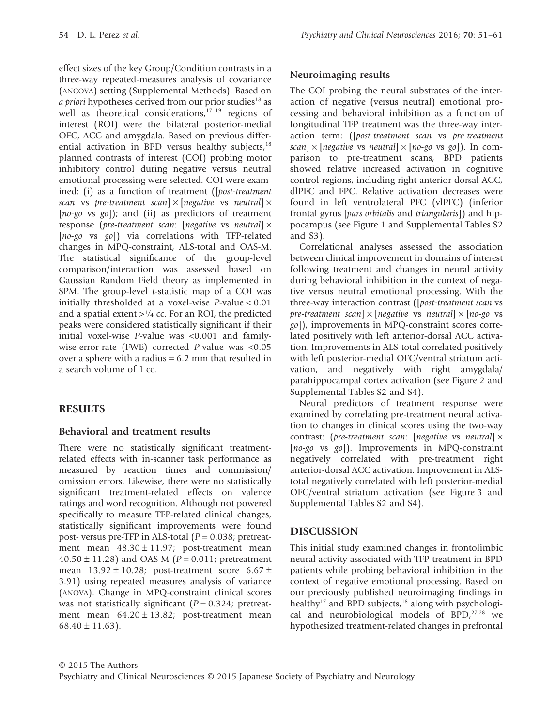effect sizes of the key Group/Condition contrasts in a three-way repeated-measures analysis of covariance (ANCOVA) setting (Supplemental Methods). Based on *a priori* hypotheses derived from our prior studies<sup>18</sup> as well as theoretical considerations, $17-19$  regions of interest (ROI) were the bilateral posterior-medial OFC, ACC and amygdala. Based on previous differential activation in BPD versus healthy subjects, $18$ planned contrasts of interest (COI) probing motor inhibitory control during negative versus neutral emotional processing were selected. COI were examined: (i) as a function of treatment ([*post-treatment scan* vs *pre-treatment scan*] × [*negative* vs *neutral*] × [*no-go* vs *go*]); and (ii) as predictors of treatment response (*pre-treatment scan*: [*negative* vs *neutral*] × [*no-go* vs *go*]) via correlations with TFP-related changes in MPQ-constraint, ALS-total and OAS-M. The statistical significance of the group-level comparison/interaction was assessed based on Gaussian Random Field theory as implemented in SPM. The group-level *t*-statistic map of a COI was initially thresholded at a voxel-wise *P*-value < 0.01 and a spatial extent  $>1/4$  cc. For an ROI, the predicted peaks were considered statistically significant if their initial voxel-wise *P*-value was <0.001 and familywise-error-rate (FWE) corrected *P*-value was <0.05 over a sphere with a radius  $= 6.2$  mm that resulted in a search volume of 1 cc.

# **RESULTS**

## **Behavioral and treatment results**

There were no statistically significant treatmentrelated effects with in-scanner task performance as measured by reaction times and commission/ omission errors. Likewise, there were no statistically significant treatment-related effects on valence ratings and word recognition. Although not powered specifically to measure TFP-related clinical changes, statistically significant improvements were found post- versus pre-TFP in ALS-total (*P* = 0.038; pretreatment mean  $48.30 \pm 11.97$ ; post-treatment mean 40.50 ± 11.28) and OAS-M (*P* = 0.011; pretreatment mean  $13.92 \pm 10.28$ ; post-treatment score  $6.67 \pm$ 3.91) using repeated measures analysis of variance (ANOVA). Change in MPQ-constraint clinical scores was not statistically significant ( $P = 0.324$ ; pretreatment mean  $64.20 \pm 13.82$ ; post-treatment mean  $68.40 \pm 11.63$ ).

## **Neuroimaging results**

The COI probing the neural substrates of the interaction of negative (versus neutral) emotional processing and behavioral inhibition as a function of longitudinal TFP treatment was the three-way interaction term: ([*post-treatment scan* vs *pre-treatment scan*] × [*negative* vs *neutral*] × [*no-go* vs *go*]). In comparison to pre-treatment scans, BPD patients showed relative increased activation in cognitive control regions, including right anterior-dorsal ACC, dlPFC and FPC. Relative activation decreases were found in left ventrolateral PFC (vlPFC) (inferior frontal gyrus [*pars orbitalis* and *triangularis*]) and hippocampus (see Figure 1 and Supplemental Tables S2 and S3).

Correlational analyses assessed the association between clinical improvement in domains of interest following treatment and changes in neural activity during behavioral inhibition in the context of negative versus neutral emotional processing. With the three-way interaction contrast ([*post-treatment scan* vs *pre-treatment scan*] × [*negative* vs *neutral*] × [*no-go* vs *go*]), improvements in MPQ-constraint scores correlated positively with left anterior-dorsal ACC activation. Improvements in ALS-total correlated positively with left posterior-medial OFC/ventral striatum activation, and negatively with right amygdala/ parahippocampal cortex activation (see Figure 2 and Supplemental Tables S2 and S4).

Neural predictors of treatment response were examined by correlating pre-treatment neural activation to changes in clinical scores using the two-way contrast: (*pre-treatment scan*: [*negative* vs *neutral*] × [*no-go* vs *go*]). Improvements in MPQ-constraint negatively correlated with pre-treatment right anterior-dorsal ACC activation. Improvement in ALStotal negatively correlated with left posterior-medial OFC/ventral striatum activation (see Figure 3 and Supplemental Tables S2 and S4).

# **DISCUSSION**

This initial study examined changes in frontolimbic neural activity associated with TFP treatment in BPD patients while probing behavioral inhibition in the context of negative emotional processing. Based on our previously published neuroimaging findings in healthy<sup>17</sup> and BPD subjects,<sup>18</sup> along with psychological and neurobiological models of  $BPD<sub>1</sub><sup>27,28</sup>$  we hypothesized treatment-related changes in prefrontal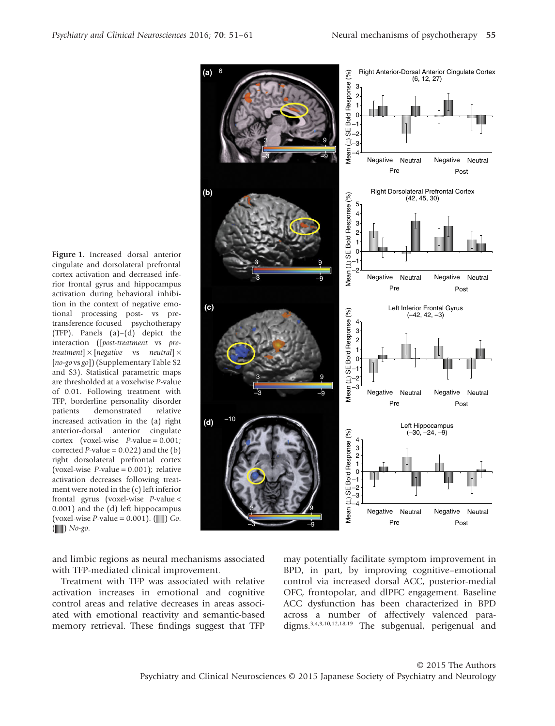**Figure 1.** Increased dorsal anterior cingulate and dorsolateral prefrontal cortex activation and decreased inferior frontal gyrus and hippocampus activation during behavioral inhibition in the context of negative emotional processing post- vs pretransference-focused psychotherapy (TFP). Panels (a)–(d) depict the interaction ([*post-treatment* vs *pretreatment*] × [*negative* vs *neutral*] × [*no-go* vs *go*]) (Supplementary Table S2 and S3). Statistical parametric maps are thresholded at a voxelwise *P*-value of 0.01. Following treatment with TFP, borderline personality disorder patients demonstrated relative increased activation in the (a) right anterior-dorsal anterior cingulate cortex (voxel-wise *P*-value = 0.001; corrected *P*-value =  $0.022$ ) and the (b) right dorsolateral prefrontal cortex (voxel-wise *P*-value = 0.001); relative activation decreases following treatment were noted in the (c) left inferior frontal gyrus (voxel-wise *P*-value < 0.001) and the (d) left hippocampus (voxel-wise *P*-value =  $0.001$ ). ( $\Box$ ) *Go*. ( ) *No-go*.

and limbic regions as neural mechanisms associated with TFP-mediated clinical improvement.

Treatment with TFP was associated with relative activation increases in emotional and cognitive control areas and relative decreases in areas associated with emotional reactivity and semantic-based memory retrieval. These findings suggest that TFP may potentially facilitate symptom improvement in BPD, in part, by improving cognitive–emotional control via increased dorsal ACC, posterior-medial OFC, frontopolar, and dlPFC engagement. Baseline ACC dysfunction has been characterized in BPD across a number of affectively valenced paradigms.3,4,9,10,12,18,19 The subgenual, perigenual and

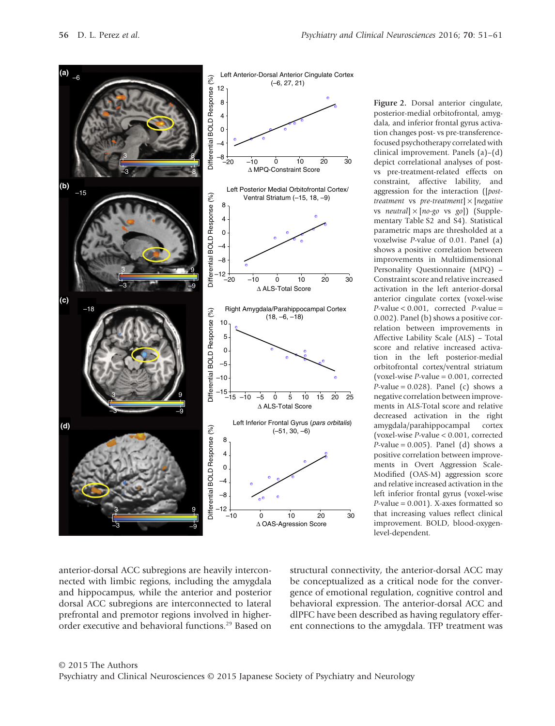

**Figure 2.** Dorsal anterior cingulate, posterior-medial orbitofrontal, amygdala, and inferior frontal gyrus activation changes post- vs pre-transferencefocused psychotherapy correlated with clinical improvement. Panels (a)–(d) depict correlational analyses of postvs pre-treatment-related effects on constraint, affective lability, and aggression for the interaction ([*posttreatment* vs *pre-treatment*] × [*negative* vs *neutral*] × [*no-go* vs *go*]) (Supplementary Table S2 and S4). Statistical parametric maps are thresholded at a voxelwise *P*-value of 0.01. Panel (a) shows a positive correlation between improvements in Multidimensional Personality Questionnaire (MPQ) – Constraint score and relative increased activation in the left anterior-dorsal anterior cingulate cortex (voxel-wise *P*-value < 0.001, corrected *P*-value = 0.002). Panel (b) shows a positive correlation between improvements in Affective Lability Scale (ALS) – Total score and relative increased activation in the left posterior-medial orbitofrontal cortex/ventral striatum (voxel-wise *P*-value = 0.001, corrected  $P$ -value = 0.028). Panel (c) shows a negative correlation between improvements in ALS-Total score and relative decreased activation in the right amygdala/parahippocampal cortex (voxel-wise *P*-value < 0.001, corrected  $P$ -value = 0.005). Panel (d) shows a positive correlation between improvements in Overt Aggression Scale-Modified (OAS-M) aggression score and relative increased activation in the left inferior frontal gyrus (voxel-wise *P*-value = 0.001). X-axes formatted so that increasing values reflect clinical improvement. BOLD, blood-oxygenlevel-dependent.

anterior-dorsal ACC subregions are heavily interconnected with limbic regions, including the amygdala and hippocampus, while the anterior and posterior dorsal ACC subregions are interconnected to lateral prefrontal and premotor regions involved in higherorder executive and behavioral functions.29 Based on structural connectivity, the anterior-dorsal ACC may be conceptualized as a critical node for the convergence of emotional regulation, cognitive control and behavioral expression. The anterior-dorsal ACC and dlPFC have been described as having regulatory efferent connections to the amygdala. TFP treatment was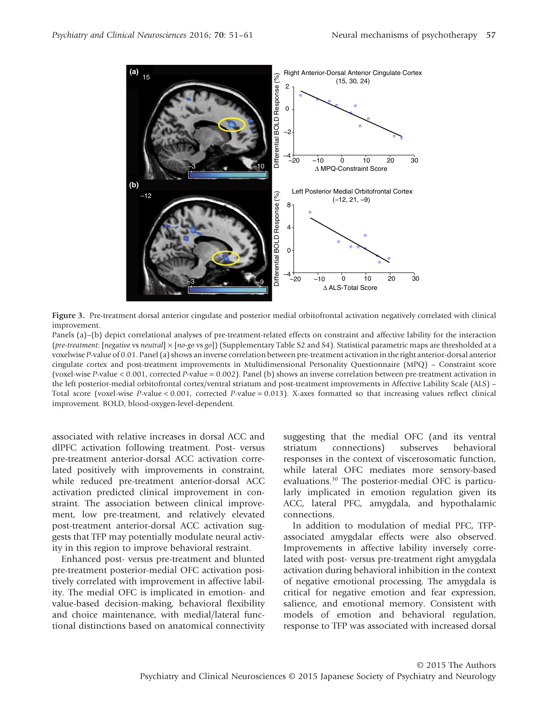

**Figure 3.** Pre-treatment dorsal anterior cingulate and posterior medial orbitofrontal activation negatively correlated with clinical improvement.

Panels (a)–(b) depict correlational analyses of pre-treatment-related effects on constraint and affective lability for the interaction (*pre-treatment*: [*negative* vs *neutral*] × [*no-go* vs *go*]) (Supplementary Table S2 and S4). Statistical parametric maps are thresholded at a voxelwise *P*-value of 0.01. Panel (a) shows an inverse correlation between pre-treatment activation in the right anterior-dorsal anterior cingulate cortex and post-treatment improvements in Multidimensional Personality Questionnaire (MPQ) – Constraint score (voxel-wise *P*-value < 0.001, corrected *P*-value = 0.002). Panel (b) shows an inverse correlation between pre-treatment activation in the left posterior-medial orbitofrontal cortex/ventral striatum and post-treatment improvements in Affective Lability Scale (ALS) – Total score (voxel-wise *P*-value < 0.001, corrected *P*-value = 0.013). X-axes formatted so that increasing values reflect clinical improvement. BOLD, blood-oxygen-level-dependent.

associated with relative increases in dorsal ACC and dlPFC activation following treatment. Post- versus pre-treatment anterior-dorsal ACC activation correlated positively with improvements in constraint, while reduced pre-treatment anterior-dorsal ACC activation predicted clinical improvement in constraint. The association between clinical improvement, low pre-treatment, and relatively elevated post-treatment anterior-dorsal ACC activation suggests that TFP may potentially modulate neural activity in this region to improve behavioral restraint.

Enhanced post- versus pre-treatment and blunted pre-treatment posterior-medial OFC activation positively correlated with improvement in affective lability. The medial OFC is implicated in emotion- and value-based decision-making, behavioral flexibility and choice maintenance, with medial/lateral functional distinctions based on anatomical connectivity suggesting that the medial OFC (and its ventral striatum connections) subserves behavioral responses in the context of viscerosomatic function, while lateral OFC mediates more sensory-based evaluations.30 The posterior-medial OFC is particularly implicated in emotion regulation given its ACC, lateral PFC, amygdala, and hypothalamic connections.

In addition to modulation of medial PFC, TFPassociated amygdalar effects were also observed. Improvements in affective lability inversely correlated with post- versus pre-treatment right amygdala activation during behavioral inhibition in the context of negative emotional processing. The amygdala is critical for negative emotion and fear expression, salience, and emotional memory. Consistent with models of emotion and behavioral regulation, response to TFP was associated with increased dorsal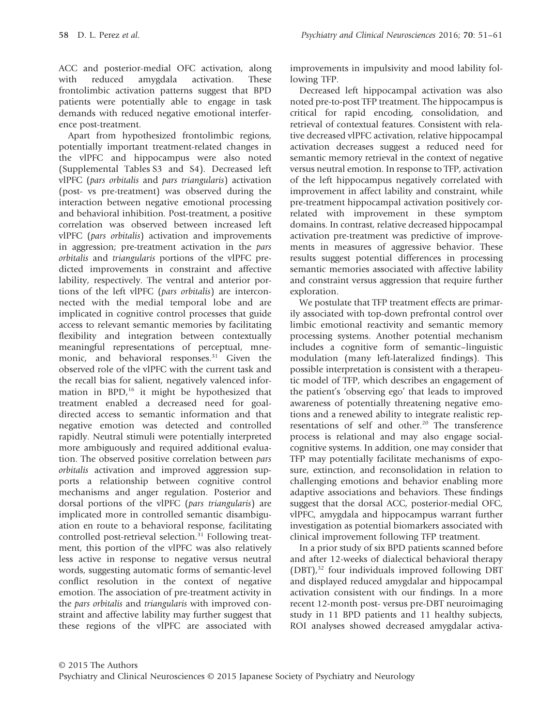ACC and posterior-medial OFC activation, along with reduced amygdala activation. These frontolimbic activation patterns suggest that BPD patients were potentially able to engage in task demands with reduced negative emotional interference post-treatment.

Apart from hypothesized frontolimbic regions, potentially important treatment-related changes in the vlPFC and hippocampus were also noted (Supplemental Tables S3 and S4). Decreased left vlPFC (*pars orbitalis* and *pars triangularis*) activation (post- vs pre-treatment) was observed during the interaction between negative emotional processing and behavioral inhibition. Post-treatment, a positive correlation was observed between increased left vlPFC (*pars orbitalis*) activation and improvements in aggression; pre-treatment activation in the *pars orbitalis* and *triangularis* portions of the vlPFC predicted improvements in constraint and affective lability, respectively. The ventral and anterior portions of the left vlPFC (*pars orbitalis*) are interconnected with the medial temporal lobe and are implicated in cognitive control processes that guide access to relevant semantic memories by facilitating flexibility and integration between contextually meaningful representations of perceptual, mnemonic, and behavioral responses.<sup>31</sup> Given the observed role of the vlPFC with the current task and the recall bias for salient, negatively valenced information in  $BPD<sub>i</sub><sup>16</sup>$  it might be hypothesized that treatment enabled a decreased need for goaldirected access to semantic information and that negative emotion was detected and controlled rapidly. Neutral stimuli were potentially interpreted more ambiguously and required additional evaluation. The observed positive correlation between *pars orbitalis* activation and improved aggression supports a relationship between cognitive control mechanisms and anger regulation. Posterior and dorsal portions of the vlPFC (*pars triangularis*) are implicated more in controlled semantic disambiguation en route to a behavioral response, facilitating controlled post-retrieval selection. $31$  Following treatment, this portion of the vlPFC was also relatively less active in response to negative versus neutral words, suggesting automatic forms of semantic-level conflict resolution in the context of negative emotion. The association of pre-treatment activity in the *pars orbitalis* and *triangularis* with improved constraint and affective lability may further suggest that these regions of the vlPFC are associated with

improvements in impulsivity and mood lability following TFP.

Decreased left hippocampal activation was also noted pre-to-post TFP treatment. The hippocampus is critical for rapid encoding, consolidation, and retrieval of contextual features. Consistent with relative decreased vlPFC activation, relative hippocampal activation decreases suggest a reduced need for semantic memory retrieval in the context of negative versus neutral emotion. In response to TFP, activation of the left hippocampus negatively correlated with improvement in affect lability and constraint, while pre-treatment hippocampal activation positively correlated with improvement in these symptom domains. In contrast, relative decreased hippocampal activation pre-treatment was predictive of improvements in measures of aggressive behavior. These results suggest potential differences in processing semantic memories associated with affective lability and constraint versus aggression that require further exploration.

We postulate that TFP treatment effects are primarily associated with top-down prefrontal control over limbic emotional reactivity and semantic memory processing systems. Another potential mechanism includes a cognitive form of semantic–linguistic modulation (many left-lateralized findings). This possible interpretation is consistent with a therapeutic model of TFP, which describes an engagement of the patient's 'observing ego' that leads to improved awareness of potentially threatening negative emotions and a renewed ability to integrate realistic representations of self and other.<sup>20</sup> The transference process is relational and may also engage socialcognitive systems. In addition, one may consider that TFP may potentially facilitate mechanisms of exposure, extinction, and reconsolidation in relation to challenging emotions and behavior enabling more adaptive associations and behaviors. These findings suggest that the dorsal ACC, posterior-medial OFC, vlPFC, amygdala and hippocampus warrant further investigation as potential biomarkers associated with clinical improvement following TFP treatment.

In a prior study of six BPD patients scanned before and after 12-weeks of dialectical behavioral therapy (DBT),<sup>32</sup> four individuals improved following DBT and displayed reduced amygdalar and hippocampal activation consistent with our findings. In a more recent 12-month post- versus pre-DBT neuroimaging study in 11 BPD patients and 11 healthy subjects, ROI analyses showed decreased amygdalar activa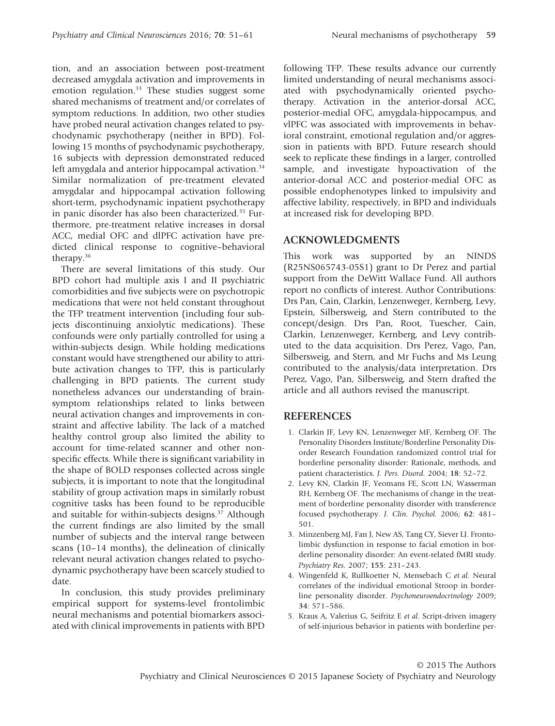tion, and an association between post-treatment decreased amygdala activation and improvements in emotion regulation.<sup>33</sup> These studies suggest some shared mechanisms of treatment and/or correlates of symptom reductions. In addition, two other studies have probed neural activation changes related to psychodynamic psychotherapy (neither in BPD). Following 15 months of psychodynamic psychotherapy, 16 subjects with depression demonstrated reduced left amygdala and anterior hippocampal activation.<sup>34</sup> Similar normalization of pre-treatment elevated amygdalar and hippocampal activation following short-term, psychodynamic inpatient psychotherapy in panic disorder has also been characterized.<sup>35</sup> Furthermore, pre-treatment relative increases in dorsal ACC, medial OFC and dlPFC activation have predicted clinical response to cognitive–behavioral therapy.36

There are several limitations of this study. Our BPD cohort had multiple axis I and II psychiatric comorbidities and five subjects were on psychotropic medications that were not held constant throughout the TFP treatment intervention (including four subjects discontinuing anxiolytic medications). These confounds were only partially controlled for using a within-subjects design. While holding medications constant would have strengthened our ability to attribute activation changes to TFP, this is particularly challenging in BPD patients. The current study nonetheless advances our understanding of brainsymptom relationships related to links between neural activation changes and improvements in constraint and affective lability. The lack of a matched healthy control group also limited the ability to account for time-related scanner and other nonspecific effects. While there is significant variability in the shape of BOLD responses collected across single subjects, it is important to note that the longitudinal stability of group activation maps in similarly robust cognitive tasks has been found to be reproducible and suitable for within-subjects designs.<sup>37</sup> Although the current findings are also limited by the small number of subjects and the interval range between scans (10–14 months), the delineation of clinically relevant neural activation changes related to psychodynamic psychotherapy have been scarcely studied to date.

In conclusion, this study provides preliminary empirical support for systems-level frontolimbic neural mechanisms and potential biomarkers associated with clinical improvements in patients with BPD following TFP. These results advance our currently limited understanding of neural mechanisms associated with psychodynamically oriented psychotherapy. Activation in the anterior-dorsal ACC, posterior-medial OFC, amygdala-hippocampus, and vlPFC was associated with improvements in behavioral constraint, emotional regulation and/or aggression in patients with BPD. Future research should seek to replicate these findings in a larger, controlled sample, and investigate hypoactivation of the anterior-dorsal ACC and posterior-medial OFC as possible endophenotypes linked to impulsivity and affective lability, respectively, in BPD and individuals at increased risk for developing BPD.

## **ACKNOWLEDGMENTS**

This work was supported by an NINDS (R25NS065743-05S1) grant to Dr Perez and partial support from the DeWitt Wallace Fund. All authors report no conflicts of interest. Author Contributions: Drs Pan, Cain, Clarkin, Lenzenweger, Kernberg, Levy, Epstein, Silbersweig, and Stern contributed to the concept/design. Drs Pan, Root, Tuescher, Cain, Clarkin, Lenzenweger, Kernberg, and Levy contributed to the data acquisition. Drs Perez, Vago, Pan, Silbersweig, and Stern, and Mr Fuchs and Ms Leung contributed to the analysis/data interpretation. Drs Perez, Vago, Pan, Silbersweig, and Stern drafted the article and all authors revised the manuscript.

#### **REFERENCES**

- 1. Clarkin JF, Levy KN, Lenzenweger MF, Kernberg OF. The Personality Disorders Institute/Borderline Personality Disorder Research Foundation randomized control trial for borderline personality disorder: Rationale, methods, and patient characteristics. *J. Pers. Disord.* 2004; **18**: 52–72.
- 2. Levy KN, Clarkin JF, Yeomans FE, Scott LN, Wasserman RH, Kernberg OF. The mechanisms of change in the treatment of borderline personality disorder with transference focused psychotherapy. *J. Clin. Psychol.* 2006; **62**: 481– 501.
- 3. Minzenberg MJ, Fan J, New AS, Tang CY, Siever LJ. Frontolimbic dysfunction in response to facial emotion in borderline personality disorder: An event-related fMRI study. *Psychiatry Res.* 2007; **155**: 231–243.
- 4. Wingenfeld K, Rullkoetter N, Mensebach C *et al*. Neural correlates of the individual emotional Stroop in borderline personality disorder. *Psychoneuroendocrinology* 2009; **34**: 571–586.
- 5. Kraus A, Valerius G, Seifritz E *et al*. Script-driven imagery of self-injurious behavior in patients with borderline per-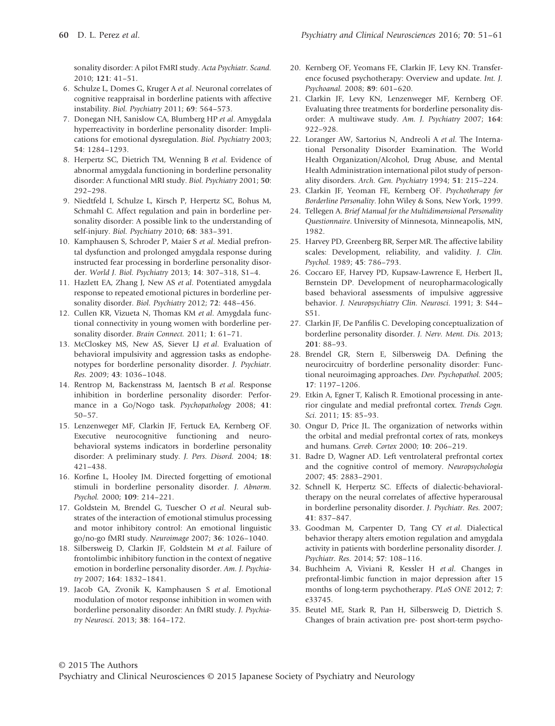sonality disorder: A pilot FMRI study. *Acta Psychiatr. Scand.* 2010; **121**: 41–51.

- 6. Schulze L, Domes G, Kruger A *et al*. Neuronal correlates of cognitive reappraisal in borderline patients with affective instability. *Biol. Psychiatry* 2011; **69**: 564–573.
- 7. Donegan NH, Sanislow CA, Blumberg HP *et al*. Amygdala hyperreactivity in borderline personality disorder: Implications for emotional dysregulation. *Biol. Psychiatry* 2003; **54**: 1284–1293.
- 8. Herpertz SC, Dietrich TM, Wenning B *et al*. Evidence of abnormal amygdala functioning in borderline personality disorder: A functional MRI study. *Biol. Psychiatry* 2001; **50**: 292–298.
- 9. Niedtfeld I, Schulze L, Kirsch P, Herpertz SC, Bohus M, Schmahl C. Affect regulation and pain in borderline personality disorder: A possible link to the understanding of self-injury. *Biol. Psychiatry* 2010; **68**: 383–391.
- 10. Kamphausen S, Schroder P, Maier S *et al*. Medial prefrontal dysfunction and prolonged amygdala response during instructed fear processing in borderline personality disorder. *World J. Biol. Psychiatry* 2013; **14**: 307–318, S1–4.
- 11. Hazlett EA, Zhang J, New AS *et al*. Potentiated amygdala response to repeated emotional pictures in borderline personality disorder. *Biol. Psychiatry* 2012; **72**: 448–456.
- 12. Cullen KR, Vizueta N, Thomas KM *et al*. Amygdala functional connectivity in young women with borderline personality disorder. *Brain Connect.* 2011; **1**: 61–71.
- 13. McCloskey MS, New AS, Siever LJ *et al*. Evaluation of behavioral impulsivity and aggression tasks as endophenotypes for borderline personality disorder. *J. Psychiatr. Res.* 2009; **43**: 1036–1048.
- 14. Rentrop M, Backenstrass M, Jaentsch B *et al*. Response inhibition in borderline personality disorder: Performance in a Go/Nogo task. *Psychopathology* 2008; **41**: 50–57.
- 15. Lenzenweger MF, Clarkin JF, Fertuck EA, Kernberg OF. Executive neurocognitive functioning and neurobehavioral systems indicators in borderline personality disorder: A preliminary study. *J. Pers. Disord.* 2004; **18**: 421–438.
- 16. Korfine L, Hooley JM. Directed forgetting of emotional stimuli in borderline personality disorder. *J. Abnorm. Psychol.* 2000; **109**: 214–221.
- 17. Goldstein M, Brendel G, Tuescher O *et al*. Neural substrates of the interaction of emotional stimulus processing and motor inhibitory control: An emotional linguistic go/no-go fMRI study. *Neuroimage* 2007; **36**: 1026–1040.
- 18. Silbersweig D, Clarkin JF, Goldstein M *et al*. Failure of frontolimbic inhibitory function in the context of negative emotion in borderline personality disorder. *Am. J. Psychiatry* 2007; **164**: 1832–1841.
- 19. Jacob GA, Zvonik K, Kamphausen S *et al*. Emotional modulation of motor response inhibition in women with borderline personality disorder: An fMRI study. *J. Psychiatry Neurosci.* 2013; **38**: 164–172.
- 20. Kernberg OF, Yeomans FE, Clarkin JF, Levy KN. Transference focused psychotherapy: Overview and update. *Int. J. Psychoanal.* 2008; **89**: 601–620.
- 21. Clarkin JF, Levy KN, Lenzenweger MF, Kernberg OF. Evaluating three treatments for borderline personality disorder: A multiwave study. *Am. J. Psychiatry* 2007; **164**: 922–928.
- 22. Loranger AW, Sartorius N, Andreoli A *et al*. The International Personality Disorder Examination. The World Health Organization/Alcohol, Drug Abuse, and Mental Health Administration international pilot study of personality disorders. *Arch. Gen. Psychiatry* 1994; **51**: 215–224.
- 23. Clarkin JF, Yeoman FE, Kernberg OF. *Psychotherapy for Borderline Personality*. John Wiley & Sons, New York, 1999.
- 24. Tellegen A. *Brief Manual for the Multidimensional Personality Questionnaire*. University of Minnesota, Minneapolis, MN, 1982.
- 25. Harvey PD, Greenberg BR, Serper MR. The affective lability scales: Development, reliability, and validity. *J. Clin. Psychol.* 1989; **45**: 786–793.
- 26. Coccaro EF, Harvey PD, Kupsaw-Lawrence E, Herbert JL, Bernstein DP. Development of neuropharmacologically based behavioral assessments of impulsive aggressive behavior. *J. Neuropsychiatry Clin. Neurosci.* 1991; **3**: S44– S51.
- 27. Clarkin JF, De Panfilis C. Developing conceptualization of borderline personality disorder. *J. Nerv. Ment. Dis.* 2013; **201**: 88–93.
- 28. Brendel GR, Stern E, Silbersweig DA. Defining the neurocircuitry of borderline personality disorder: Functional neuroimaging approaches. *Dev. Psychopathol.* 2005; **17**: 1197–1206.
- 29. Etkin A, Egner T, Kalisch R. Emotional processing in anterior cingulate and medial prefrontal cortex. *Trends Cogn. Sci.* 2011; **15**: 85–93.
- 30. Ongur D, Price JL. The organization of networks within the orbital and medial prefrontal cortex of rats, monkeys and humans. *Cereb. Cortex* 2000; **10**: 206–219.
- 31. Badre D, Wagner AD. Left ventrolateral prefrontal cortex and the cognitive control of memory. *Neuropsychologia* 2007; **45**: 2883–2901.
- 32. Schnell K, Herpertz SC. Effects of dialectic-behavioraltherapy on the neural correlates of affective hyperarousal in borderline personality disorder. *J. Psychiatr. Res.* 2007; **41**: 837–847.
- 33. Goodman M, Carpenter D, Tang CY *et al*. Dialectical behavior therapy alters emotion regulation and amygdala activity in patients with borderline personality disorder. *J. Psychiatr. Res.* 2014; **57**: 108–116.
- 34. Buchheim A, Viviani R, Kessler H *et al*. Changes in prefrontal-limbic function in major depression after 15 months of long-term psychotherapy. *PLoS ONE* 2012; **7**: e33745.
- 35. Beutel ME, Stark R, Pan H, Silbersweig D, Dietrich S. Changes of brain activation pre- post short-term psycho-